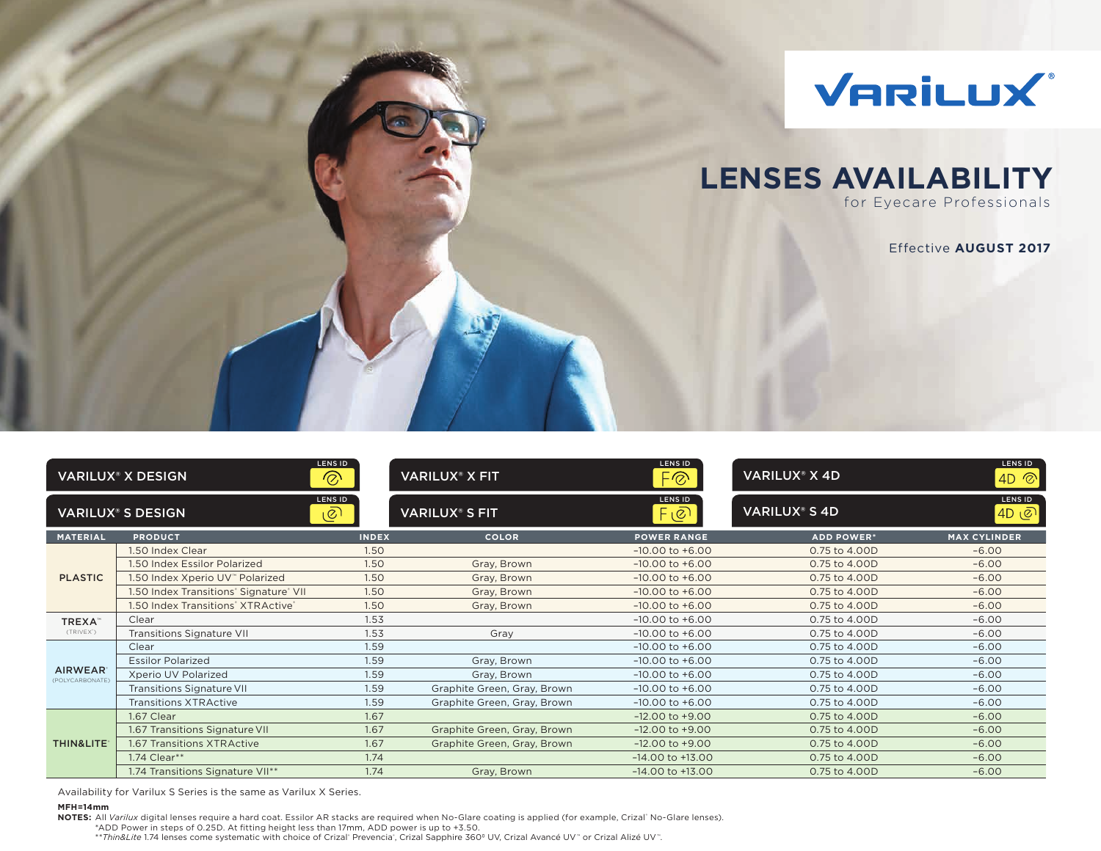

# **LENSES AVAILABILITY**

for Eyecare Professionals

Effective **AUGUST 2017**

|                                   | <b>VARILUX® X DESIGN</b>               | LENS ID<br>$\circledcirc$ | <b>VARILUX<sup>®</sup> X FIT</b> | <b>LENS ID</b><br>F⊗     | <b>VARILUX® X 4D</b>            | LENS ID<br>$AD \n\otimes$ |
|-----------------------------------|----------------------------------------|---------------------------|----------------------------------|--------------------------|---------------------------------|---------------------------|
|                                   | <b>VARILUX<sup>®</sup> S DESIGN</b>    | <b>LENS ID</b><br>಄       | <b>VARILUX® S FIT</b>            | <b>LENS ID</b><br>$F$ ලු | <b>VARILUX<sup>®</sup> S 4D</b> | <b>LENS ID</b><br> ه 4D   |
| <b>MATERIAL</b>                   | <b>PRODUCT</b>                         | <b>INDEX</b>              | <b>COLOR</b>                     | <b>POWER RANGE</b>       | <b>ADD POWER*</b>               | <b>MAX CYLINDER</b>       |
|                                   | 1.50 Index Clear                       | 1.50                      |                                  | $-10.00$ to $+6.00$      | 0.75 to 4.00D                   | $-6.00$                   |
|                                   | 1.50 Index Essilor Polarized           | 1.50                      | Gray, Brown                      | $-10.00$ to $+6.00$      | 0.75 to 4.00D                   | $-6.00$                   |
| <b>PLASTIC</b>                    | 1.50 Index Xperio UV™ Polarized        | 1.50                      | Gray, Brown                      | $-10.00$ to $+6.00$      | 0.75 to 4.00D                   | $-6.00$                   |
|                                   | 1.50 Index Transitions' Signature' VII | 1.50                      | Gray, Brown                      | $-10.00$ to $+6.00$      | 0.75 to 4.00D                   | $-6.00$                   |
|                                   | 1.50 Index Transitions" XTRActive"     | 1.50                      | Gray, Brown                      | $-10.00$ to $+6.00$      | 0.75 to 4.00D                   | $-6.00$                   |
| TREXA <sup>™</sup>                | Clear                                  | 1.53                      |                                  | $-10.00$ to $+6.00$      | 0.75 to 4.00D                   | $-6.00$                   |
| (TRIVEX')                         | Transitions Signature VII              | 1.53                      | Gray                             | $-10.00$ to $+6.00$      | 0.75 to 4.00D                   | $-6.00$                   |
|                                   | Clear                                  | 1.59                      |                                  | $-10.00$ to $+6.00$      | 0.75 to 4.00D                   | $-6.00$                   |
|                                   | <b>Essilor Polarized</b>               | 1.59                      | Gray, Brown                      | $-10.00$ to $+6.00$      | 0.75 to 4.00D                   | $-6.00$                   |
| <b>AIRWEAR</b><br>(POLYCARBONATE) | Xperio UV Polarized                    | 1.59                      | Gray, Brown                      | $-10.00$ to $+6.00$      | 0.75 to 4.00D                   | $-6.00$                   |
|                                   | Transitions Signature VII              | 1.59                      | Graphite Green, Gray, Brown      | $-10.00$ to $+6.00$      | 0.75 to 4.00D                   | $-6.00$                   |
|                                   | <b>Transitions XTRActive</b>           | 1.59                      | Graphite Green, Gray, Brown      | $-10.00$ to $+6.00$      | 0.75 to 4.00D                   | $-6.00$                   |
|                                   | 1.67 Clear                             | 1.67                      |                                  | $-12.00$ to $+9.00$      | 0.75 to 4.00D                   | $-6.00$                   |
|                                   | 1.67 Transitions Signature VII         | 1.67                      | Graphite Green, Gray, Brown      | $-12.00$ to $+9.00$      | 0.75 to 4.00D                   | $-6.00$                   |
| <b>THIN&amp;LITE®</b>             | <b>1.67 Transitions XTRActive</b>      | 1.67                      | Graphite Green, Gray, Brown      | $-12.00$ to $+9.00$      | 0.75 to 4.00D                   | $-6.00$                   |
|                                   | 1.74 Clear**                           | 1.74                      |                                  | $-14.00$ to $+13.00$     | 0.75 to 4.00D                   | $-6.00$                   |
|                                   | 1.74 Transitions Signature VII**       | 1.74                      | Gray, Brown                      | $-14.00$ to $+13.00$     | 0.75 to 4.00D                   | $-6.00$                   |

Availability for Varilux S Series is the same as Varilux X Series.

#### **MFH=14mm**

**NOTES:** All *Varilux* digital lenses require a hard coat. Essilor AR stacks are required when No-Glare coating is applied (for example, Crizal® No-Glare lenses).

\*ADD Power in steps of 0.25D. At fitting height less than 17mm, ADD power is up to +3.50.

\*\*Thin&Lite 1.74 lenses come systematic with choice of Crizal" Prevencia", Crizal Sapphire 360º UV, Crizal Avancé UV™ or Crizal Alizé UV™.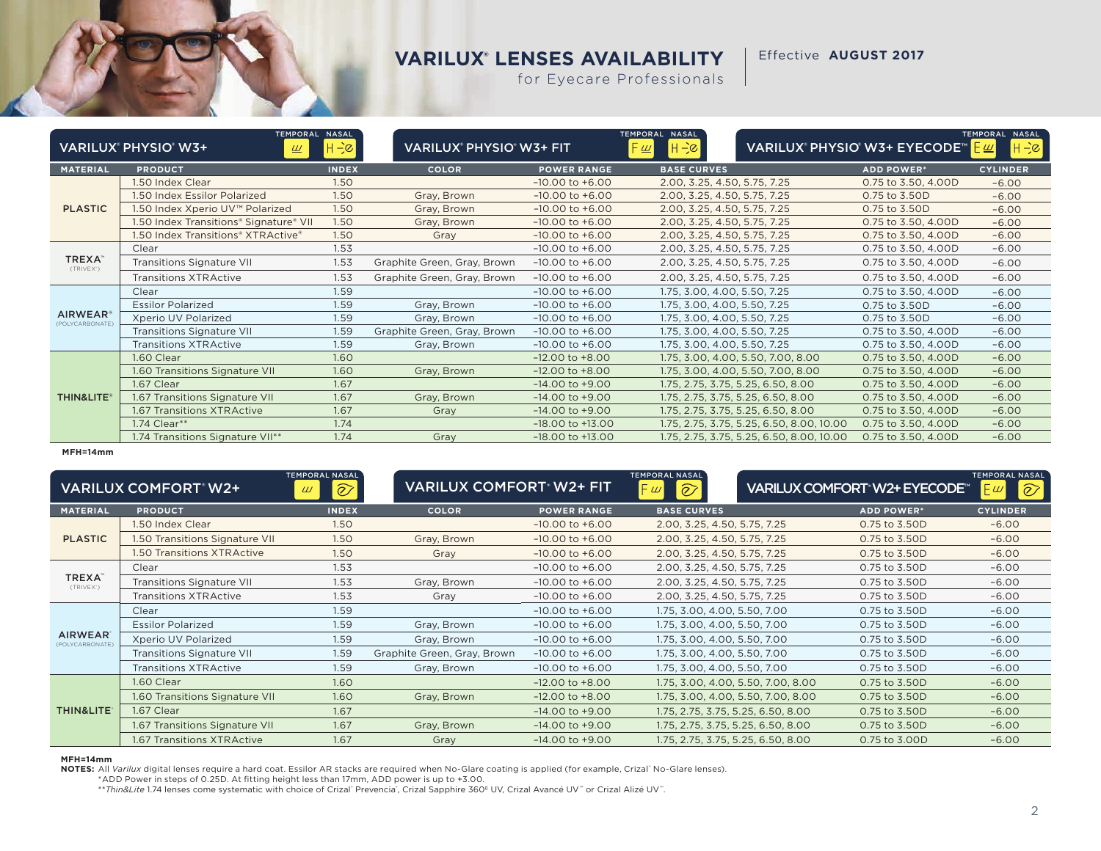Effective **AUGUST 2017**

for Eyecare Professionals

|                                        | TEMPORAL NASAL<br>VARILUX® PHYSIO® W3+<br>$\underline{\omega}$ | $H \rightarrow \infty$ | VARILUX® PHYSIO® W3+ FIT    |                      | TEMPORAL NASAL<br>$ H - \varepsilon $<br>⊦ <u>ш</u> |                                           | VARILUX® PHYSIO® W3+ EYECODE™ | TEMPORAL NASAL<br>$ H - c $<br>Æ≝Γ |
|----------------------------------------|----------------------------------------------------------------|------------------------|-----------------------------|----------------------|-----------------------------------------------------|-------------------------------------------|-------------------------------|------------------------------------|
| <b>MATERIAL</b>                        | <b>PRODUCT</b>                                                 | <b>INDEX</b>           | <b>COLOR</b>                | <b>POWER RANGE</b>   | <b>BASE CURVES</b>                                  |                                           | <b>ADD POWER*</b>             | <b>CYLINDER</b>                    |
|                                        | 1.50 Index Clear                                               | 1.50                   |                             | $-10.00$ to $+6.00$  | 2.00, 3.25, 4.50, 5.75, 7.25                        |                                           | 0.75 to 3.50, 4.00D           | $-6.00$                            |
|                                        | 1.50 Index Essilor Polarized                                   | 1.50                   | Gray, Brown                 | $-10.00$ to $+6.00$  | 2.00, 3.25, 4.50, 5.75, 7.25                        |                                           | 0.75 to 3.50D                 | $-6.00$                            |
| <b>PLASTIC</b>                         | 1.50 Index Xperio UV™ Polarized                                | 1.50                   | Gray, Brown                 | $-10.00$ to $+6.00$  | 2.00, 3.25, 4.50, 5.75, 7.25                        |                                           | 0.75 to 3.50D                 | $-6.00$                            |
|                                        | 1.50 Index Transitions® Signature® VII                         | 1.50                   | Gray, Brown                 | $-10.00$ to $+6.00$  | 2.00, 3.25, 4.50, 5.75, 7.25                        |                                           | 0.75 to 3.50, 4.00D           | $-6.00$                            |
|                                        | 1.50 Index Transitions® XTRActive®                             | 1.50                   | Gray                        | $-10.00$ to $+6.00$  | 2.00, 3.25, 4.50, 5.75, 7.25                        |                                           | 0.75 to 3.50, 4.00D           | $-6.00$                            |
|                                        | Clear                                                          | 1.53                   |                             | $-10.00$ to $+6.00$  | 2.00, 3.25, 4.50, 5.75, 7.25                        |                                           | 0.75 to 3.50, 4.00D           | $-6.00$                            |
| <b>TREXA</b> <sup>®</sup><br>(TRIVEX') | <b>Transitions Signature VII</b>                               | 1.53                   | Graphite Green, Gray, Brown | $-10.00$ to $+6.00$  | 2.00, 3.25, 4.50, 5.75, 7.25                        |                                           | 0.75 to 3.50, 4.00D           | $-6.00$                            |
|                                        | <b>Transitions XTRActive</b>                                   | 1.53                   | Graphite Green, Gray, Brown | $-10.00$ to $+6.00$  | 2.00, 3.25, 4.50, 5.75, 7.25                        |                                           | 0.75 to 3.50, 4.00D           | $-6.00$                            |
|                                        | Clear                                                          | 1.59                   |                             | $-10.00$ to $+6.00$  | 1.75, 3.00, 4.00, 5.50, 7.25                        |                                           | 0.75 to 3.50, 4.00D           | $-6.00$                            |
|                                        | <b>Essilor Polarized</b>                                       | 1.59                   | Gray, Brown                 | $-10.00$ to $+6.00$  | 1.75, 3.00, 4.00, 5.50, 7.25                        |                                           | 0.75 to 3.50D                 | $-6.00$                            |
| <b>AIRWEAR</b> ®<br>(POLYCARBONATE)    | Xperio UV Polarized                                            | 1.59                   | Gray, Brown                 | $-10.00$ to $+6.00$  | 1.75, 3.00, 4.00, 5.50, 7.25                        |                                           | 0.75 to 3.50D                 | $-6.00$                            |
|                                        | <b>Transitions Signature VII</b>                               | 1.59                   | Graphite Green, Gray, Brown | $-10.00$ to $+6.00$  | 1.75, 3.00, 4.00, 5.50, 7.25                        |                                           | 0.75 to 3.50, 4.00D           | $-6.00$                            |
|                                        | <b>Transitions XTRActive</b>                                   | 1.59                   | Gray, Brown                 | $-10.00$ to $+6.00$  | 1.75, 3.00, 4.00, 5.50, 7.25                        |                                           | 0.75 to 3.50, 4.00D           | $-6.00$                            |
|                                        | 1.60 Clear                                                     | 1.60                   |                             | $-12.00$ to $+8.00$  |                                                     | 1.75, 3.00, 4.00, 5.50, 7.00, 8.00        | 0.75 to 3.50, 4.00D           | $-6.00$                            |
|                                        | 1.60 Transitions Signature VII                                 | 1.60                   | Gray, Brown                 | $-12.00$ to $+8.00$  |                                                     | 1.75, 3.00, 4.00, 5.50, 7.00, 8.00        | 0.75 to 3.50, 4.00D           | $-6.00$                            |
|                                        | 1.67 Clear                                                     | 1.67                   |                             | $-14.00$ to $+9.00$  |                                                     | 1.75, 2.75, 3.75, 5.25, 6.50, 8.00        | 0.75 to 3.50, 4.00D           | $-6.00$                            |
| THIN&LITE®                             | 1.67 Transitions Signature VII                                 | 1.67                   | Gray, Brown                 | $-14.00$ to $+9.00$  |                                                     | 1.75, 2.75, 3.75, 5.25, 6.50, 8.00        | 0.75 to 3.50, 4.00D           | $-6.00$                            |
|                                        | 1.67 Transitions XTRActive                                     | 1.67                   | Gray                        | $-14.00$ to $+9.00$  |                                                     | 1.75, 2.75, 3.75, 5.25, 6.50, 8.00        | 0.75 to 3.50, 4.00D           | $-6.00$                            |
|                                        | 1.74 Clear**                                                   | 1.74                   |                             | $-18.00$ to $+13.00$ |                                                     | 1.75, 2.75, 3.75, 5.25, 6.50, 8.00, 10.00 | 0.75 to 3.50, 4.00D           | $-6.00$                            |
|                                        | 1.74 Transitions Signature VII**                               | 1.74                   | Gray                        | $-18.00$ to $+13.00$ |                                                     | 1.75, 2.75, 3.75, 5.25, 6.50, 8.00, 10.00 | 0.75 to 3.50, 4.00D           | $-6.00$                            |

**MFH=14mm**

|                                        | <b>VARILUX COMFORT W2+</b>       | <b>TEMPORAL NASAL</b><br>$\widehat{\varnothing}$<br>$\omega$ | <b>VARILUX COMFORT W2+ FIT</b> |                     | <b>TEMPORAL NASAL</b><br>$\widehat{\varnothing}$<br>- ய | <b>VARILUX COMFORT W2+ EYECODE<sup>T</sup></b> | <b>TEMPORAL NASAL</b><br>$\widehat{\mathcal{O}}$<br>$E^{\omega}$ |
|----------------------------------------|----------------------------------|--------------------------------------------------------------|--------------------------------|---------------------|---------------------------------------------------------|------------------------------------------------|------------------------------------------------------------------|
| <b>MATERIAL</b>                        | <b>PRODUCT</b>                   | <b>INDEX</b>                                                 | <b>COLOR</b>                   | <b>POWER RANGE</b>  | <b>BASE CURVES</b>                                      | <b>ADD POWER*</b>                              | <b>CYLINDER</b>                                                  |
|                                        | I.50 Index Clear                 | 1.50                                                         |                                | $-10.00$ to $+6.00$ | 2.00, 3.25, 4.50, 5.75, 7.25                            | 0.75 to 3.50D                                  | $-6.00$                                                          |
| <b>PLASTIC</b>                         | 1.50 Transitions Signature VII   | 1.50                                                         | Gray, Brown                    | $-10.00$ to $+6.00$ | 2.00, 3.25, 4.50, 5.75, 7.25                            | 0.75 to 3.50D                                  | $-6.00$                                                          |
|                                        | 1.50 Transitions XTRActive       | 1.50                                                         | Gray                           | $-10.00$ to $+6.00$ | 2.00, 3.25, 4.50, 5.75, 7.25                            | 0.75 to 3.50D                                  | $-6.00$                                                          |
|                                        | Clear                            | 1.53                                                         |                                | $-10.00$ to $+6.00$ | 2.00, 3.25, 4.50, 5.75, 7.25                            | 0.75 to 3.50D                                  | $-6.00$                                                          |
| <b>TREXA</b> <sup>®</sup><br>(TRIVEX") | <b>Transitions Signature VII</b> | 1.53                                                         | Gray, Brown                    | $-10.00$ to $+6.00$ | 2.00, 3.25, 4.50, 5.75, 7.25                            | 0.75 to 3.50D                                  | $-6.00$                                                          |
|                                        | <b>Transitions XTRActive</b>     | 1.53                                                         | Gray                           | $-10.00$ to $+6.00$ | 2.00, 3.25, 4.50, 5.75, 7.25                            | 0.75 to 3.50D                                  | $-6.00$                                                          |
|                                        | Clear                            | 1.59                                                         |                                | $-10.00$ to $+6.00$ | 1.75, 3.00, 4.00, 5.50, 7.00                            | 0.75 to 3.50D                                  | $-6.00$                                                          |
|                                        | <b>Essilor Polarized</b>         | 1.59                                                         | Gray, Brown                    | $-10.00$ to $+6.00$ | 1.75, 3.00, 4.00, 5.50, 7.00                            | 0.75 to 3.50D                                  | $-6.00$                                                          |
| <b>AIRWEAR</b><br>(POLYCARBONATE)      | Xperio UV Polarized              | 1.59                                                         | Gray, Brown                    | $-10.00$ to $+6.00$ | 1.75, 3.00, 4.00, 5.50, 7.00                            | 0.75 to 3.50D                                  | $-6.00$                                                          |
|                                        | <b>Transitions Signature VII</b> | 1.59                                                         | Graphite Green, Gray, Brown    | $-10.00$ to $+6.00$ | 1.75, 3.00, 4.00, 5.50, 7.00                            | 0.75 to 3.50D                                  | $-6.00$                                                          |
|                                        | <b>Transitions XTRActive</b>     | 1.59                                                         | Gray, Brown                    | $-10.00$ to $+6.00$ | 1.75, 3.00, 4.00, 5.50, 7.00                            | 0.75 to 3.50D                                  | $-6.00$                                                          |
|                                        | 1.60 Clear                       | 1.60                                                         |                                | $-12.00$ to $+8.00$ | 1.75, 3.00, 4.00, 5.50, 7.00, 8.00                      | 0.75 to 3.50D                                  | $-6.00$                                                          |
|                                        | 1.60 Transitions Signature VII   | 1.60                                                         | Gray, Brown                    | $-12.00$ to $+8.00$ | 1.75, 3.00, 4.00, 5.50, 7.00, 8.00                      | 0.75 to 3.50D                                  | $-6.00$                                                          |
| THIN&LITE®                             | 1.67 Clear                       | 1.67                                                         |                                | $-14.00$ to $+9.00$ | 1.75, 2.75, 3.75, 5.25, 6.50, 8.00                      | 0.75 to 3.50D                                  | $-6.00$                                                          |
|                                        | 1.67 Transitions Signature VII   | 1.67                                                         | Gray, Brown                    | $-14.00$ to $+9.00$ | 1.75, 2.75, 3.75, 5.25, 6.50, 8.00                      | 0.75 to 3.50D                                  | $-6.00$                                                          |
|                                        | 1.67 Transitions XTRActive       | 1.67                                                         | Gray                           | $-14.00$ to $+9.00$ | 1.75, 2.75, 3.75, 5.25, 6.50, 8.00                      | 0.75 to 3.00D                                  | $-6.00$                                                          |

#### **MFH=14mm**

**NOTES:** All *Varilux* digital lenses require a hard coat. Essilor AR stacks are required when No-Glare coating is applied (for example, Crizal® No-Glare lenses).

\*ADD Power in steps of 0.25D. At fitting height less than 17mm, ADD power is up to +3.00.<br>\*\**Thin&Lite* 1.74 lenses come systematic with choice of Crizal' Prevencia', Crizal Sapphire 360º UV, Crizal Avancé UV" or Crizal Al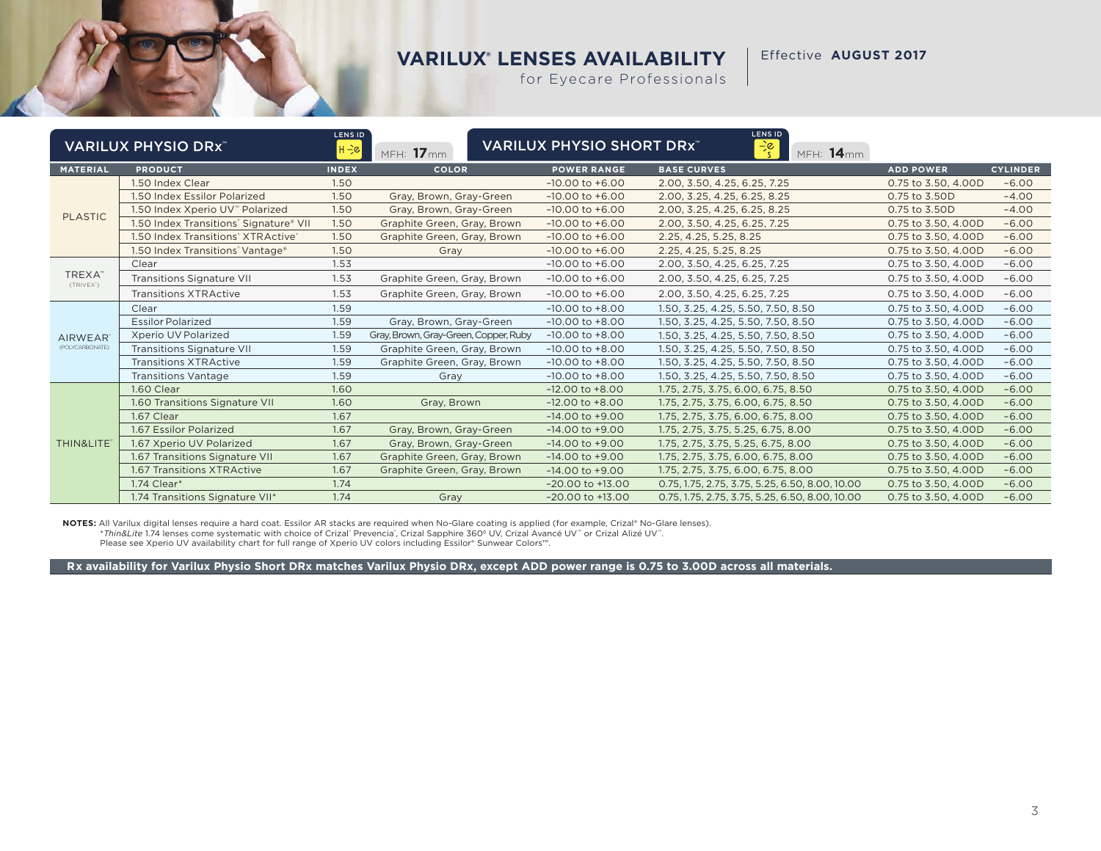Effective **AUGUST 2017**

for Eyecare Professionals

|                                 | <b>VARILUX PHYSIO DRX</b> <sup>*</sup> | <b>LENS ID</b><br>$H = c$ | MFH: 17mm                             | <b>VARILUX PHYSIO SHORT DRX"</b> | <b>LENS ID</b><br>$\div \xi$<br>MFH: 14mm       |                     |                 |
|---------------------------------|----------------------------------------|---------------------------|---------------------------------------|----------------------------------|-------------------------------------------------|---------------------|-----------------|
| <b>MATERIAL</b>                 | <b>PRODUCT</b>                         | <b>INDEX</b>              | <b>COLOR</b>                          | <b>POWER RANGE</b>               | <b>BASE CURVES</b>                              | <b>ADD POWER</b>    | <b>CYLINDER</b> |
|                                 | 1.50 Index Clear                       | 1.50                      |                                       | $-10.00$ to $+6.00$              | 2.00, 3.50, 4.25, 6.25, 7.25                    | 0.75 to 3.50, 4.00D | $-6.00$         |
|                                 | 1.50 Index Essilor Polarized           | 1.50                      | Gray, Brown, Gray-Green               | $-10.00$ to $+6.00$              | 2.00, 3.25, 4.25, 6.25, 8.25                    | 0.75 to 3.50D       | $-4.00$         |
| <b>PLASTIC</b>                  | 1.50 Index Xperio UV™ Polarized        | 1.50                      | Gray, Brown, Gray-Green               | $-10.00$ to $+6.00$              | 2.00, 3.25, 4.25, 6.25, 8.25                    | 0.75 to 3.50D       | $-4.00$         |
|                                 | 1.50 Index Transitions' Signature® VII | 1.50                      | Graphite Green, Gray, Brown           | $-10.00$ to $+6.00$              | 2.00, 3.50, 4.25, 6.25, 7.25                    | 0.75 to 3.50, 4.00D | $-6.00$         |
|                                 | 1.50 Index Transitions' XTRActive'     | 1.50                      | Graphite Green, Gray, Brown           | $-10.00$ to $+6.00$              | 2.25, 4.25, 5.25, 8.25                          | 0.75 to 3.50, 4.00D | $-6.00$         |
|                                 | 1.50 Index Transitions' Vantage®       | 1.50                      | Gray                                  | $-10.00$ to $+6.00$              | 2.25, 4.25, 5.25, 8.25                          | 0.75 to 3.50, 4.00D | $-6.00$         |
|                                 | Clear                                  | 1.53                      |                                       | $-10.00$ to $+6.00$              | 2.00, 3.50, 4.25, 6.25, 7.25                    | 0.75 to 3.50, 4.00D | $-6.00$         |
| TREXA <sup>®</sup><br>(TRIVEX') | <b>Transitions Signature VII</b>       | 1.53                      | Graphite Green, Gray, Brown           | $-10.00$ to $+6.00$              | 2.00, 3.50, 4.25, 6.25, 7.25                    | 0.75 to 3.50, 4.00D | $-6.00$         |
|                                 | <b>Transitions XTRActive</b>           | 1.53                      | Graphite Green, Gray, Brown           | $-10.00$ to $+6.00$              | 2.00, 3.50, 4.25, 6.25, 7.25                    | 0.75 to 3.50, 4.00D | $-6.00$         |
|                                 | Clear                                  | 1.59                      |                                       | $-10.00$ to $+8.00$              | 1.50, 3.25, 4.25, 5.50, 7.50, 8.50              | 0.75 to 3.50, 4.00D | $-6.00$         |
|                                 | <b>Essilor Polarized</b>               | 1.59                      | Gray, Brown, Gray-Green               | $-10.00$ to $+8.00$              | 1.50, 3.25, 4.25, 5.50, 7.50, 8.50              | 0.75 to 3.50, 4.00D | $-6.00$         |
| <b>AIRWEAR</b>                  | Xperio UV Polarized                    | 1.59                      | Gray, Brown, Gray-Green, Copper, Ruby | $-10.00$ to $+8.00$              | 1.50, 3.25, 4.25, 5.50, 7.50, 8.50              | 0.75 to 3.50, 4.00D | $-6.00$         |
| (POLYCARBONATE)                 | <b>Transitions Signature VII</b>       | 1.59                      | Graphite Green, Gray, Brown           | $-10.00$ to $+8.00$              | 1.50, 3.25, 4.25, 5.50, 7.50, 8.50              | 0.75 to 3.50, 4.00D | $-6.00$         |
|                                 | <b>Transitions XTRActive</b>           | 1.59                      | Graphite Green, Gray, Brown           | $-10.00$ to $+8.00$              | 1.50, 3.25, 4.25, 5.50, 7.50, 8.50              | 0.75 to 3.50, 4.00D | $-6.00$         |
|                                 | <b>Transitions Vantage</b>             | 1.59                      | Gray                                  | $-10.00$ to $+8.00$              | 1.50, 3.25, 4.25, 5.50, 7.50, 8.50              | 0.75 to 3.50, 4.00D | $-6.00$         |
|                                 | 1.60 Clear                             | 1.60                      |                                       | $-12.00$ to $+8.00$              | 1.75, 2.75, 3.75, 6.00, 6.75, 8.50              | 0.75 to 3.50, 4.00D | $-6.00$         |
|                                 | 1.60 Transitions Signature VII         | 1.60                      | Gray, Brown                           | $-12.00$ to $+8.00$              | 1.75, 2.75, 3.75, 6.00, 6.75, 8.50              | 0.75 to 3.50, 4.00D | $-6.00$         |
|                                 | 1.67 Clear                             | 1.67                      |                                       | $-14.00$ to $+9.00$              | 1.75, 2.75, 3.75, 6.00, 6.75, 8.00              | 0.75 to 3.50, 4.00D | $-6.00$         |
|                                 | 1.67 Essilor Polarized                 | 1.67                      | Gray, Brown, Gray-Green               | $-14.00$ to $+9.00$              | 1.75, 2.75, 3.75, 5.25, 6.75, 8.00              | 0.75 to 3.50, 4.00D | $-6.00$         |
| THIN&LITE®                      | 1.67 Xperio UV Polarized               | 1.67                      | Gray, Brown, Gray-Green               | $-14.00$ to $+9.00$              | 1.75, 2.75, 3.75, 5.25, 6.75, 8.00              | 0.75 to 3.50, 4.00D | $-6.00$         |
|                                 | 1.67 Transitions Signature VII         | 1.67                      | Graphite Green, Gray, Brown           | $-14.00$ to $+9.00$              | 1.75, 2.75, 3.75, 6.00, 6.75, 8.00              | 0.75 to 3.50, 4.00D | $-6.00$         |
|                                 | 1.67 Transitions XTRActive             | 1.67                      | Graphite Green, Gray, Brown           | $-14.00$ to $+9.00$              | 1.75, 2.75, 3.75, 6.00, 6.75, 8.00              | 0.75 to 3.50, 4.00D | $-6.00$         |
|                                 | 1.74 Clear*                            | 1.74                      |                                       | $-20.00$ to $+13.00$             | 0.75, 1.75, 2.75, 3.75, 5.25, 6.50, 8.00, 10.00 | 0.75 to 3.50, 4.00D | $-6.00$         |
|                                 | 1.74 Transitions Signature VII*        | 1.74                      | Gray                                  | $-20.00$ to $+13.00$             | 0.75, 1.75, 2.75, 3.75, 5.25, 6.50, 8.00, 10.00 | 0.75 to 3.50, 4.00D | $-6.00$         |

**NOTES:** All Varilux digital lenses require a hard coat. Essilor AR stacks are required when No-Glare coating is applied (for example, Crizal® No-Glare lenses). \**Thin&Lite* 1.74 lenses come systematic with choice of Crizal" Prevencia", Crizal Sapphire 360º UV, Crizal Avancé UV™ or Crizal Alizé UV™.<br>Please see Xperio UV availability chart for full range of Xperio UV colors includi

 **Rx availability for Varilux Physio Short DRx matches Varilux Physio DRx, except ADD power range is 0.75 to 3.00D across all materials.**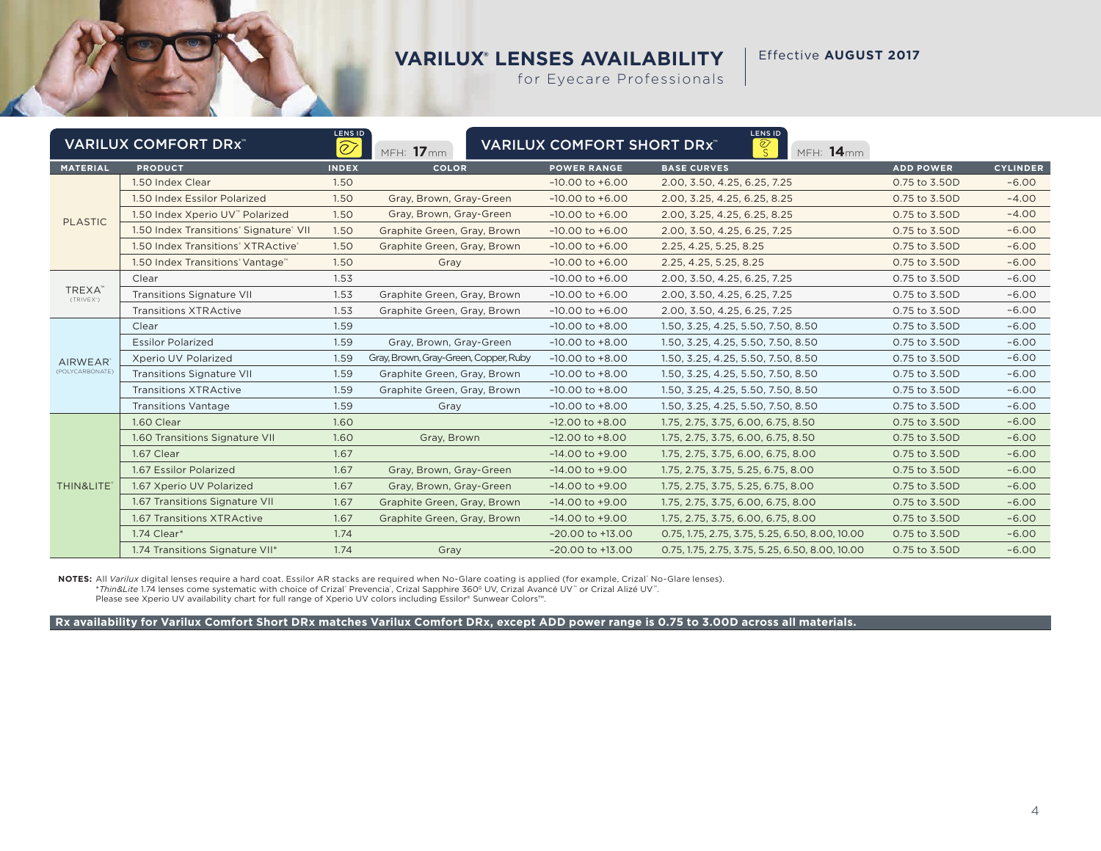Effective **AUGUST 2017**

for Eyecare Professionals

|                     | <b>VARILUX COMFORT DRX"</b>            | LENS ID<br>$\widehat{\oslash}$ | MFH: 17mm                             | <b>VARILUX COMFORT SHORT DRX"</b> | LENS ID<br>$\overline{\mathcal{S}}$<br>MFH: 14mm |                  |                 |
|---------------------|----------------------------------------|--------------------------------|---------------------------------------|-----------------------------------|--------------------------------------------------|------------------|-----------------|
| <b>MATERIAL</b>     | <b>PRODUCT</b>                         | <b>INDEX</b>                   | <b>COLOR</b>                          | <b>POWER RANGE</b>                | <b>BASE CURVES</b>                               | <b>ADD POWER</b> | <b>CYLINDER</b> |
|                     | 1.50 Index Clear                       | 1.50                           |                                       | $-10.00$ to $+6.00$               | 2.00, 3.50, 4.25, 6.25, 7.25                     | 0.75 to 3.50D    | $-6.00$         |
|                     | 1.50 Index Essilor Polarized           | 1.50                           | Gray, Brown, Gray-Green               | $-10.00$ to $+6.00$               | 2.00, 3.25, 4.25, 6.25, 8.25                     | 0.75 to 3.50D    | $-4.00$         |
| <b>PLASTIC</b>      | 1.50 Index Xperio UV" Polarized        | 1.50                           | Gray, Brown, Gray-Green               | $-10.00$ to $+6.00$               | 2.00, 3.25, 4.25, 6.25, 8.25                     | 0.75 to 3.50D    | $-4.00$         |
|                     | 1.50 Index Transitions' Signature' VII | 1.50                           | Graphite Green, Gray, Brown           | $-10.00$ to $+6.00$               | 2.00, 3.50, 4.25, 6.25, 7.25                     | 0.75 to 3.50D    | $-6.00$         |
|                     | 1.50 Index Transitions' XTRActive'     | 1.50                           | Graphite Green, Gray, Brown           | $-10.00$ to $+6.00$               | 2.25, 4.25, 5.25, 8.25                           | 0.75 to 3.50D    | $-6.00$         |
|                     | 1.50 Index Transitions Vantage         | 1.50                           | Gray                                  | $-10.00$ to $+6.00$               | 2.25, 4.25, 5.25, 8.25                           | 0.75 to 3.50D    | $-6.00$         |
|                     | Clear                                  | 1.53                           |                                       | $-10.00$ to $+6.00$               | 2.00, 3.50, 4.25, 6.25, 7.25                     | 0.75 to 3.50D    | $-6.00$         |
| TREXA"<br>(TRIVEX') | <b>Transitions Signature VII</b>       | 1.53                           | Graphite Green, Gray, Brown           | $-10.00$ to $+6.00$               | 2.00, 3.50, 4.25, 6.25, 7.25                     | 0.75 to 3.50D    | $-6.00$         |
|                     | <b>Transitions XTRActive</b>           | 1.53                           | Graphite Green, Gray, Brown           | $-10.00$ to $+6.00$               | 2.00, 3.50, 4.25, 6.25, 7.25                     | 0.75 to 3.50D    | $-6.00$         |
|                     | Clear                                  | 1.59                           |                                       | $-10.00$ to $+8.00$               | 1.50, 3.25, 4.25, 5.50, 7.50, 8.50               | 0.75 to 3.50D    | $-6.00$         |
|                     | <b>Essilor Polarized</b>               | 1.59                           | Gray, Brown, Gray-Green               | $-10.00$ to $+8.00$               | 1.50, 3.25, 4.25, 5.50, 7.50, 8.50               | 0.75 to 3.50D    | $-6.00$         |
| <b>AIRWEAR</b>      | Xperio UV Polarized                    | 1.59                           | Gray, Brown, Gray-Green, Copper, Ruby | $-10.00$ to $+8.00$               | 1.50, 3.25, 4.25, 5.50, 7.50, 8.50               | 0.75 to 3.50D    | $-6.00$         |
| (POLYCARBONATE)     | <b>Transitions Signature VII</b>       | 1.59                           | Graphite Green, Gray, Brown           | $-10.00$ to $+8.00$               | 1.50, 3.25, 4.25, 5.50, 7.50, 8.50               | 0.75 to 3.50D    | $-6.00$         |
|                     | <b>Transitions XTRActive</b>           | 1.59                           | Graphite Green, Gray, Brown           | $-10.00$ to $+8.00$               | 1.50, 3.25, 4.25, 5.50, 7.50, 8.50               | 0.75 to 3.50D    | $-6.00$         |
|                     | <b>Transitions Vantage</b>             | 1.59                           | Gray                                  | $-10.00$ to $+8.00$               | 1.50, 3.25, 4.25, 5.50, 7.50, 8.50               | 0.75 to 3.50D    | $-6.00$         |
|                     | 1.60 Clear                             | 1.60                           |                                       | $-12.00$ to $+8.00$               | 1.75, 2.75, 3.75, 6.00, 6.75, 8.50               | 0.75 to 3.50D    | $-6.00$         |
|                     | 1.60 Transitions Signature VII         | 1.60                           | Gray, Brown                           | $-12.00$ to $+8.00$               | 1.75, 2.75, 3.75, 6.00, 6.75, 8.50               | 0.75 to 3.50D    | $-6.00$         |
|                     | 1.67 Clear                             | 1.67                           |                                       | $-14.00$ to $+9.00$               | 1.75, 2.75, 3.75, 6.00, 6.75, 8.00               | 0.75 to 3.50D    | $-6.00$         |
|                     | 1.67 Essilor Polarized                 | 1.67                           | Gray, Brown, Gray-Green               | $-14.00$ to $+9.00$               | 1.75, 2.75, 3.75, 5.25, 6.75, 8.00               | 0.75 to 3.50D    | $-6.00$         |
| THIN&LITE*          | 1.67 Xperio UV Polarized               | 1.67                           | Gray, Brown, Gray-Green               | $-14.00$ to $+9.00$               | 1.75, 2.75, 3.75, 5.25, 6.75, 8.00               | 0.75 to 3.50D    | $-6.00$         |
|                     | 1.67 Transitions Signature VII         | 1.67                           | Graphite Green, Gray, Brown           | $-14.00$ to $+9.00$               | 1.75, 2.75, 3.75, 6.00, 6.75, 8.00               | 0.75 to 3.50D    | $-6.00$         |
|                     | 1.67 Transitions XTRActive             | 1.67                           | Graphite Green, Gray, Brown           | $-14.00$ to $+9.00$               | 1.75, 2.75, 3.75, 6.00, 6.75, 8.00               | 0.75 to 3.50D    | $-6.00$         |
|                     | 1.74 Clear*                            | 1.74                           |                                       | $-20.00$ to $+13.00$              | 0.75, 1.75, 2.75, 3.75, 5.25, 6.50, 8.00, 10.00  | 0.75 to 3.50D    | $-6.00$         |
|                     | 1.74 Transitions Signature VII*        | 1.74                           | Gray                                  | $-20.00$ to $+13.00$              | 0.75, 1.75, 2.75, 3.75, 5.25, 6.50, 8.00, 10.00  | 0.75 to 3.50D    | $-6.00$         |

**NOTES:** All *Varilux* digital lenses require a hard coat. Essilor AR stacks are required when No-Glare coating is applied (for example, Crizal" No-Glare lenses).<br>\**Thin&Lite* 1.74 lenses come systematic with choice of Cri Please see Xperio UV availability chart for full range of Xperio UV colors including Essilor® Sunwear Colors™.

**Rx availability for Varilux Comfort Short DRx matches Varilux Comfort DRx, except ADD power range is 0.75 to 3.00D across all materials.**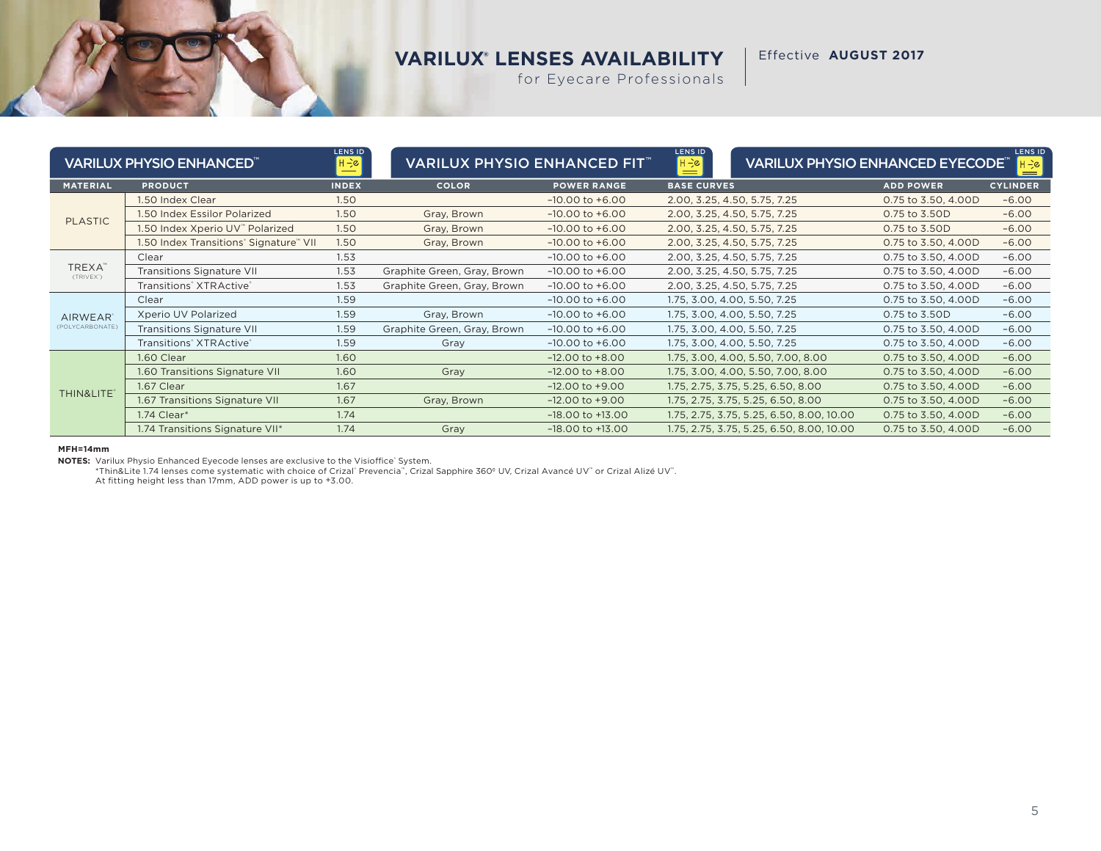Effective **AUGUST 2017**

for Eyecare Professionals

|                      | <b>VARILUX PHYSIO ENHANCED<sup>®</sup></b>      | <b>LENS ID</b><br>$H - c$ | <b>VARILUX PHYSIO ENHANCED FIT</b> |                      | LENS ID<br>$H \rightarrow \infty$<br><b>VARILUX PHYSIO ENHANCED EYECODE<sup>®</sup></b><br>$=$ |                     |                 |
|----------------------|-------------------------------------------------|---------------------------|------------------------------------|----------------------|------------------------------------------------------------------------------------------------|---------------------|-----------------|
| <b>MATERIAL</b>      | <b>PRODUCT</b>                                  | <b>INDEX</b>              | <b>COLOR</b>                       | <b>POWER RANGE</b>   | <b>BASE CURVES</b>                                                                             | <b>ADD POWER</b>    | <b>CYLINDER</b> |
|                      | 1.50 Index Clear                                | 1.50                      |                                    | $-10.00$ to $+6.00$  | 2.00, 3.25, 4.50, 5.75, 7.25                                                                   | 0.75 to 3.50, 4.00D | $-6.00$         |
| <b>PLASTIC</b>       | 1.50 Index Essilor Polarized                    | 1.50                      | Gray, Brown                        | $-10.00$ to $+6.00$  | 2.00, 3.25, 4.50, 5.75, 7.25                                                                   | 0.75 to 3.50D       | $-6.00$         |
|                      | 1.50 Index Xperio UV" Polarized                 | 1.50                      | Gray, Brown                        | $-10.00$ to $+6.00$  | 2.00, 3.25, 4.50, 5.75, 7.25                                                                   | 0.75 to 3.50D       | $-6.00$         |
|                      | 1.50 Index Transitions' Signature" VII          | 1.50                      | Gray, Brown                        | $-10.00$ to $+6.00$  | 2.00, 3.25, 4.50, 5.75, 7.25                                                                   | 0.75 to 3.50, 4.00D | $-6.00$         |
| TREXA"<br>(TRIVEX')  | Clear                                           | 1.53                      |                                    | $-10.00$ to $+6.00$  | 2.00, 3.25, 4.50, 5.75, 7.25                                                                   | 0.75 to 3.50, 4.00D | $-6.00$         |
|                      | <b>Transitions Signature VII</b>                | 1.53                      | Graphite Green, Gray, Brown        | $-10.00$ to $+6.00$  | 2.00, 3.25, 4.50, 5.75, 7.25                                                                   | 0.75 to 3.50, 4.00D | $-6.00$         |
|                      | Transitions <sup>*</sup> XTRActive <sup>*</sup> | 1.53                      | Graphite Green, Gray, Brown        | $-10.00$ to $+6.00$  | 2.00, 3.25, 4.50, 5.75, 7.25                                                                   | 0.75 to 3.50, 4.00D | $-6.00$         |
|                      | Clear                                           | 1.59                      |                                    | $-10.00$ to $+6.00$  | 1.75, 3.00, 4.00, 5.50, 7.25                                                                   | 0.75 to 3.50, 4.00D | $-6.00$         |
| AIRWEAR <sup>®</sup> | Xperio UV Polarized                             | 1.59                      | Gray, Brown                        | $-10.00$ to $+6.00$  | 1.75, 3.00, 4.00, 5.50, 7.25                                                                   | 0.75 to 3.50D       | $-6.00$         |
| (POLYCARBONATE)      | <b>Transitions Signature VII</b>                | 1.59                      | Graphite Green, Gray, Brown        | $-10.00$ to $+6.00$  | 1.75, 3.00, 4.00, 5.50, 7.25                                                                   | 0.75 to 3.50, 4.00D | $-6.00$         |
|                      | Transitions XTRActive                           | 1.59                      | Gray                               | $-10.00$ to $+6.00$  | 1.75, 3.00, 4.00, 5.50, 7.25                                                                   | 0.75 to 3.50, 4.00D | $-6.00$         |
|                      | 1.60 Clear                                      | 1.60                      |                                    | $-12.00$ to $+8.00$  | 1.75, 3.00, 4.00, 5.50, 7.00, 8.00                                                             | 0.75 to 3.50, 4.00D | $-6.00$         |
|                      | 1.60 Transitions Signature VII                  | 1.60                      | Gray                               | $-12.00$ to $+8.00$  | 1.75, 3.00, 4.00, 5.50, 7.00, 8.00                                                             | 0.75 to 3.50, 4.00D | $-6.00$         |
|                      | 1.67 Clear                                      | 1.67                      |                                    | $-12.00$ to $+9.00$  | 1.75, 2.75, 3.75, 5.25, 6.50, 8.00                                                             | 0.75 to 3.50, 4.00D | $-6.00$         |
| THIN&LITE®           | 1.67 Transitions Signature VII                  | 1.67                      | Gray, Brown                        | $-12.00$ to $+9.00$  | 1.75, 2.75, 3.75, 5.25, 6.50, 8.00                                                             | 0.75 to 3.50, 4.00D | $-6.00$         |
|                      | 1.74 Clear*                                     | 1.74                      |                                    | $-18.00$ to $+13.00$ | 1.75, 2.75, 3.75, 5.25, 6.50, 8.00, 10.00                                                      | 0.75 to 3.50, 4.00D | $-6.00$         |
|                      | 1.74 Transitions Signature VII*                 | 1.74                      | Gray                               | $-18.00$ to $+13.00$ | 1.75, 2.75, 3.75, 5.25, 6.50, 8.00, 10.00                                                      | 0.75 to 3.50, 4.00D | $-6.00$         |

#### **MFH=14mm**

NOTES: Varilux Physio Enhanced Eyecode lenses are exclusive to the Visioffice' System.

\*Thin&Lite 1.74 lenses come systematic with choice of Crizal" Prevencia™, Crizal Sapphire 360º UV, Crizal Avancé UV™ or Crizal Alizé UV™.<br>At fitting height less than 17mm, ADD power is up to +3.00.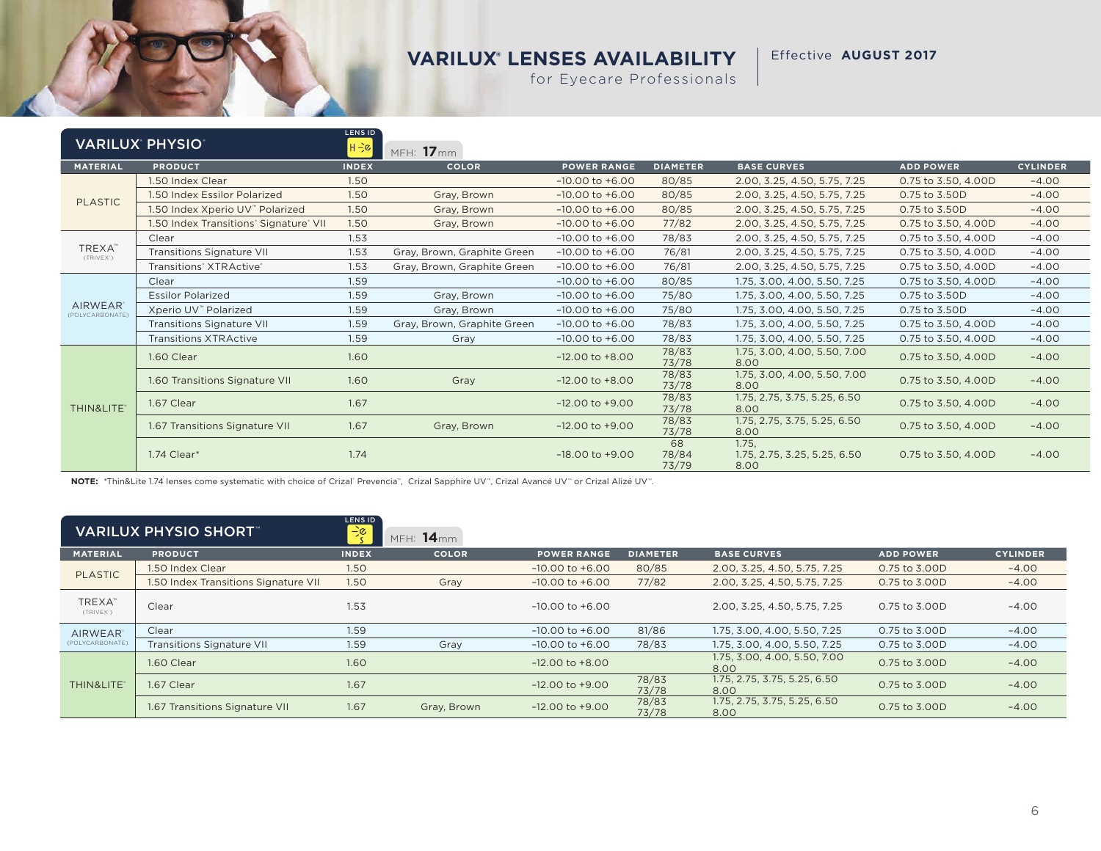Effective **AUGUST 2017**

for Eyecare Professionals

|                                   | <b>VARILUX PHYSIO</b>                  | LENS ID<br>$H - \varepsilon$ | MFH: $17$ mm                |                     |                      |                                               |                     |                 |
|-----------------------------------|----------------------------------------|------------------------------|-----------------------------|---------------------|----------------------|-----------------------------------------------|---------------------|-----------------|
| <b>MATERIAL</b>                   | <b>PRODUCT</b>                         | <b>INDEX</b>                 | <b>COLOR</b>                | <b>POWER RANGE</b>  | <b>DIAMETER</b>      | <b>BASE CURVES</b>                            | <b>ADD POWER</b>    | <b>CYLINDER</b> |
|                                   | 1.50 Index Clear                       | 1.50                         |                             | $-10.00$ to $+6.00$ | 80/85                | 2.00, 3.25, 4.50, 5.75, 7.25                  | 0.75 to 3.50, 4.00D | $-4.00$         |
|                                   | 1.50 Index Essilor Polarized           | 1.50                         | Gray, Brown                 | $-10.00$ to $+6.00$ | 80/85                | 2.00, 3.25, 4.50, 5.75, 7.25                  | 0.75 to 3.50D       | $-4.00$         |
| <b>PLASTIC</b>                    | 1.50 Index Xperio UV" Polarized        | 1.50                         | Gray, Brown                 | $-10.00$ to $+6.00$ | 80/85                | 2.00, 3.25, 4.50, 5.75, 7.25                  | 0.75 to 3.50D       | $-4.00$         |
|                                   | 1.50 Index Transitions' Signature' VII | 1.50                         | Gray, Brown                 | $-10.00$ to $+6.00$ | 77/82                | 2.00, 3.25, 4.50, 5.75, 7.25                  | 0.75 to 3.50, 4.00D | $-4.00$         |
|                                   | Clear                                  | 1.53                         |                             | $-10.00$ to $+6.00$ | 78/83                | 2.00, 3.25, 4.50, 5.75, 7.25                  | 0.75 to 3.50, 4.00D | $-4.00$         |
| TREXA"<br>(TRIVEX')               | <b>Transitions Signature VII</b>       | 1.53                         | Gray, Brown, Graphite Green | $-10.00$ to $+6.00$ | 76/81                | 2.00, 3.25, 4.50, 5.75, 7.25                  | 0.75 to 3.50, 4.00D | $-4.00$         |
|                                   | Transitions' XTRActive'                | 1.53                         | Gray, Brown, Graphite Green | $-10.00$ to $+6.00$ | 76/81                | 2.00, 3.25, 4.50, 5.75, 7.25                  | 0.75 to 3.50, 4.00D | $-4.00$         |
|                                   | Clear                                  | 1.59                         |                             | $-10.00$ to $+6.00$ | 80/85                | 1.75, 3.00, 4.00, 5.50, 7.25                  | 0.75 to 3.50, 4.00D | $-4.00$         |
|                                   | <b>Essilor Polarized</b>               | 1.59                         | Gray, Brown                 | $-10.00$ to $+6.00$ | 75/80                | 1.75, 3.00, 4.00, 5.50, 7.25                  | 0.75 to 3.50D       | $-4.00$         |
| <b>AIRWEAR</b><br>(POLYCARBONATE) | Xperio UV <sup>™</sup> Polarized       | 1.59                         | Gray, Brown                 | $-10.00$ to $+6.00$ | 75/80                | 1.75, 3.00, 4.00, 5.50, 7.25                  | 0.75 to 3.50D       | $-4.00$         |
|                                   | <b>Transitions Signature VII</b>       | 1.59                         | Gray, Brown, Graphite Green | $-10.00$ to $+6.00$ | 78/83                | 1.75, 3.00, 4.00, 5.50, 7.25                  | 0.75 to 3.50, 4.00D | $-4.00$         |
|                                   | <b>Transitions XTRActive</b>           | 1.59                         | Gray                        | $-10.00$ to $+6.00$ | 78/83                | 1.75, 3.00, 4.00, 5.50, 7.25                  | 0.75 to 3.50, 4.00D | $-4.00$         |
|                                   | 1.60 Clear                             | 1.60                         |                             | $-12.00$ to $+8.00$ | 78/83<br>73/78       | 1.75, 3.00, 4.00, 5.50, 7.00<br>8.00          | 0.75 to 3.50, 4.00D | $-4.00$         |
|                                   | 1.60 Transitions Signature VII         | 1.60                         | Gray                        | $-12.00$ to $+8.00$ | 78/83<br>73/78       | 1.75, 3.00, 4.00, 5.50, 7.00<br>8.00          | 0.75 to 3.50, 4.00D | $-4.00$         |
| THIN&LITE*                        | 1.67 Clear                             | 1.67                         |                             | $-12.00$ to $+9.00$ | 78/83<br>73/78       | 1.75, 2.75, 3.75, 5.25, 6.50<br>8.00          | 0.75 to 3.50, 4.00D | $-4.00$         |
|                                   | 1.67 Transitions Signature VII         | 1.67                         | Gray, Brown                 | $-12.00$ to $+9.00$ | 78/83<br>73/78       | 1.75, 2.75, 3.75, 5.25, 6.50<br>8.00          | 0.75 to 3.50, 4.00D | $-4.00$         |
|                                   | 1.74 Clear*                            | 1.74                         |                             | $-18.00$ to $+9.00$ | 68<br>78/84<br>73/79 | 1.75.<br>1.75, 2.75, 3.25, 5.25, 6.50<br>8.00 | 0.75 to 3.50, 4.00D | $-4.00$         |

**NOTE:** \*Thin&Lite 1.74 lenses come systematic with choice of Crizal\* Prevencia™, Crizal Sapphire UV™, Crizal Avancé UV™ or Crizal Alizé UV™.

|                      | <b>VARILUX PHYSIO SHORT</b>          | LENS ID<br>$\frac{1}{\sqrt{6}}$ | 14 <sub>mm</sub><br>MFH: |                     |                 |                                      |                  |                 |
|----------------------|--------------------------------------|---------------------------------|--------------------------|---------------------|-----------------|--------------------------------------|------------------|-----------------|
| <b>MATERIAL</b>      | <b>PRODUCT</b>                       | <b>INDEX</b>                    | <b>COLOR</b>             | <b>POWER RANGE</b>  | <b>DIAMETER</b> | <b>BASE CURVES</b>                   | <b>ADD POWER</b> | <b>CYLINDER</b> |
| <b>PLASTIC</b>       | 1.50 Index Clear                     | 1.50                            |                          | $-10.00$ to $+6.00$ | 80/85           | 2.00, 3.25, 4.50, 5.75, 7.25         | 0.75 to 3.00D    | $-4.00$         |
|                      | 1.50 Index Transitions Signature VII | 1.50                            | Gray                     | $-10.00$ to $+6.00$ | 77/82           | 2.00, 3.25, 4.50, 5.75, 7.25         | 0.75 to 3.00D    | $-4.00$         |
| TREXA™<br>(TRIVEX')  | Clear                                | 1.53                            |                          | $-10.00$ to $+6.00$ |                 | 2.00, 3.25, 4.50, 5.75, 7.25         | 0.75 to 3.00D    | $-4.00$         |
| AIRWEAR <sup>®</sup> | Clear                                | 1.59                            |                          | $-10.00$ to $+6.00$ | 81/86           | 1.75, 3.00, 4.00, 5.50, 7.25         | 0.75 to 3.00D    | $-4.00$         |
| (POLYCARBONATE)      | <b>Transitions Signature VII</b>     | 1.59                            | Gray                     | $-10.00$ to $+6.00$ | 78/83           | 1.75, 3.00, 4.00, 5.50, 7.25         | 0.75 to 3.00D    | $-4.00$         |
|                      | 1.60 Clear                           | 1.60                            |                          | $-12.00$ to $+8.00$ |                 | 1.75, 3.00, 4.00, 5.50, 7.00<br>8.00 | 0.75 to 3.00D    | $-4.00$         |
| THIN&LITE*           | 1.67 Clear                           | 1.67                            |                          | $-12.00$ to $+9.00$ | 78/83<br>73/78  | 1.75, 2.75, 3.75, 5.25, 6.50<br>8.00 | 0.75 to 3.00D    | $-4.00$         |
|                      | 1.67 Transitions Signature VII       | 1.67                            | Gray, Brown              | $-12.00$ to $+9.00$ | 78/83<br>73/78  | 1.75, 2.75, 3.75, 5.25, 6.50<br>8.00 | 0.75 to 3.00D    | $-4.00$         |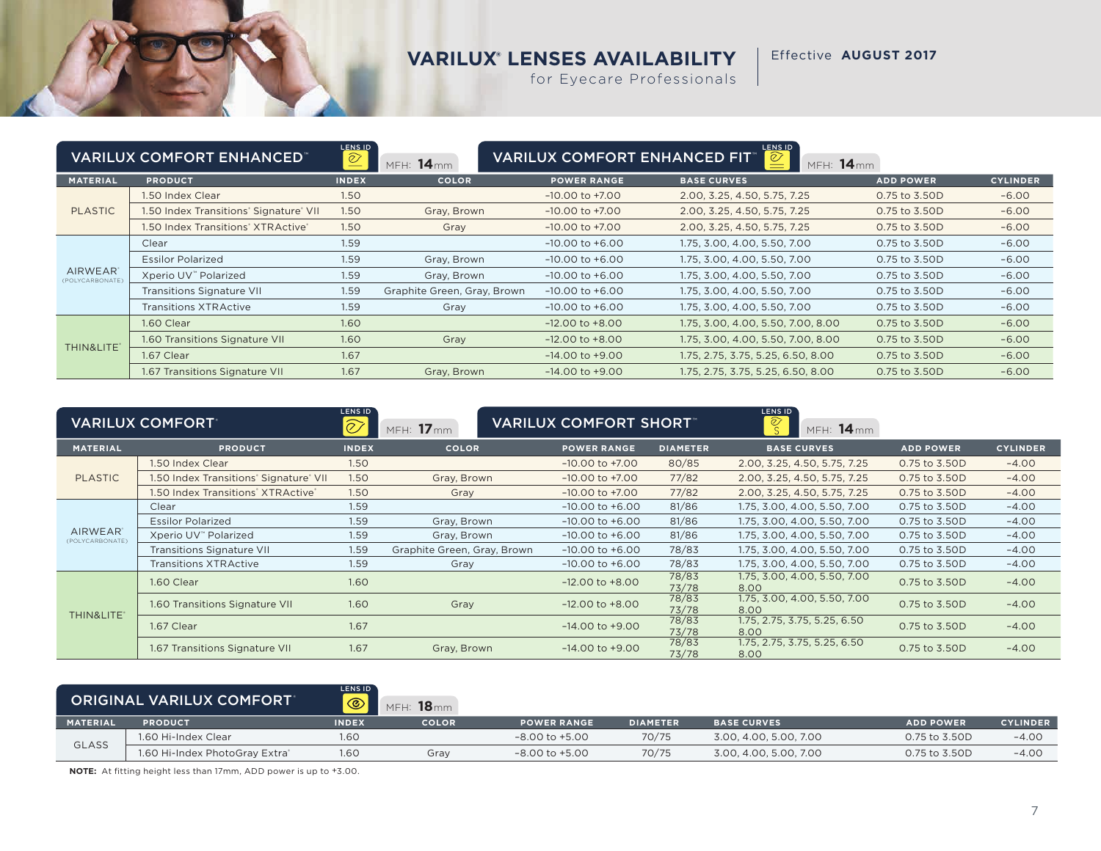Effective **AUGUST 2017**

for Eyecare Professionals

| <b>VARILUX COMFORT ENHANCED"</b>  |                                        | LENS ID<br>$\underline{\mathcal{O}}$ | LENS ID<br>$\boxed{\mathcal{Q}}$<br><b>VARILUX COMFORT ENHANCED FIT<sup>®</sup></b><br>MFH: 14mm<br>MFH: 14mm |                     |                                    |                  |                 |  |
|-----------------------------------|----------------------------------------|--------------------------------------|---------------------------------------------------------------------------------------------------------------|---------------------|------------------------------------|------------------|-----------------|--|
| <b>MATERIAL</b>                   | <b>PRODUCT</b>                         | <b>INDEX</b>                         | <b>COLOR</b>                                                                                                  | <b>POWER RANGE</b>  | <b>BASE CURVES</b>                 | <b>ADD POWER</b> | <b>CYLINDER</b> |  |
|                                   | 1.50 Index Clear                       | 1.50                                 |                                                                                                               | $-10.00$ to $+7.00$ | 2.00, 3.25, 4.50, 5.75, 7.25       | 0.75 to 3.50D    | $-6.00$         |  |
| <b>PLASTIC</b>                    | 1.50 Index Transitions' Signature' VII | 1.50                                 | Gray, Brown                                                                                                   | $-10.00$ to $+7.00$ | 2.00, 3.25, 4.50, 5.75, 7.25       | 0.75 to 3.50D    | $-6.00$         |  |
|                                   | 1.50 Index Transitions' XTRActive*     | 1.50                                 | Gray                                                                                                          | $-10.00$ to $+7.00$ | 2.00, 3.25, 4.50, 5.75, 7.25       | 0.75 to 3.50D    | $-6.00$         |  |
|                                   | Clear                                  | 1.59                                 |                                                                                                               | $-10.00$ to $+6.00$ | 1.75, 3.00, 4.00, 5.50, 7.00       | 0.75 to 3.50D    | $-6.00$         |  |
|                                   | <b>Essilor Polarized</b>               | 1.59                                 | Gray, Brown                                                                                                   | $-10.00$ to $+6.00$ | 1.75, 3.00, 4.00, 5.50, 7.00       | 0.75 to 3.50D    | $-6.00$         |  |
| <b>AIRWEAR</b><br>(POLYCARBONATE) | Xperio UV <sup>™</sup> Polarized       | 1.59                                 | Gray, Brown                                                                                                   | $-10.00$ to $+6.00$ | 1.75, 3.00, 4.00, 5.50, 7.00       | 0.75 to 3.50D    | $-6.00$         |  |
|                                   | <b>Transitions Signature VII</b>       | 1.59                                 | Graphite Green, Gray, Brown                                                                                   | $-10.00$ to $+6.00$ | 1.75, 3.00, 4.00, 5.50, 7.00       | 0.75 to 3.50D    | $-6.00$         |  |
|                                   | <b>Transitions XTRActive</b>           | 1.59                                 | Gray                                                                                                          | $-10.00$ to $+6.00$ | 1.75, 3.00, 4.00, 5.50, 7.00       | 0.75 to 3.50D    | $-6.00$         |  |
|                                   | 1.60 Clear                             | 1.60                                 |                                                                                                               | $-12.00$ to $+8.00$ | 1.75, 3.00, 4.00, 5.50, 7.00, 8.00 | 0.75 to 3.50D    | $-6.00$         |  |
|                                   | 1.60 Transitions Signature VII         | 1.60                                 | Gray                                                                                                          | $-12.00$ to $+8.00$ | 1.75, 3.00, 4.00, 5.50, 7.00, 8.00 | 0.75 to 3.50D    | $-6.00$         |  |
| THIN&LITE*                        | 1.67 Clear                             | 1.67                                 |                                                                                                               | $-14.00$ to $+9.00$ | 1.75, 2.75, 3.75, 5.25, 6.50, 8.00 | 0.75 to 3.50D    | $-6.00$         |  |
|                                   | 1.67 Transitions Signature VII         | 1.67                                 | Gray, Brown                                                                                                   | $-14.00$ to $+9.00$ | 1.75, 2.75, 3.75, 5.25, 6.50, 8.00 | 0.75 to 3.50D    | $-6.00$         |  |

|                                         | <b>VARILUX COMFORT</b>                 | LENS ID<br>$ \widehat{\oslash}$ | <b>VARILUX COMFORT SHORT</b><br>MFH: 17mm |                     | LENS ID<br>$\widehat{\mathcal{O}}$<br>MFH: 14mm |                                      |                  |                 |
|-----------------------------------------|----------------------------------------|---------------------------------|-------------------------------------------|---------------------|-------------------------------------------------|--------------------------------------|------------------|-----------------|
| <b>MATERIAL</b>                         | <b>PRODUCT</b>                         | <b>INDEX</b>                    | <b>COLOR</b>                              | <b>POWER RANGE</b>  | <b>DIAMETER</b>                                 | <b>BASE CURVES</b>                   | <b>ADD POWER</b> | <b>CYLINDER</b> |
|                                         | 1.50 Index Clear                       | 1.50                            |                                           | $-10.00$ to $+7.00$ | 80/85                                           | 2.00, 3.25, 4.50, 5.75, 7.25         | 0.75 to 3.50D    | $-4.00$         |
| <b>PLASTIC</b>                          | 1.50 Index Transitions' Signature' VII | 1.50                            | Gray, Brown                               | $-10.00$ to $+7.00$ | 77/82                                           | 2.00, 3.25, 4.50, 5.75, 7.25         | 0.75 to 3.50D    | $-4.00$         |
|                                         | 1.50 Index Transitions' XTRActive'     | 1.50                            | Gray                                      | $-10.00$ to $+7.00$ | 77/82                                           | 2.00, 3.25, 4.50, 5.75, 7.25         | 0.75 to 3.50D    | $-4.00$         |
|                                         | Clear                                  | 1.59                            |                                           | $-10.00$ to $+6.00$ | 81/86                                           | 1.75, 3.00, 4.00, 5.50, 7.00         | 0.75 to 3.50D    | $-4.00$         |
|                                         | <b>Essilor Polarized</b>               | 1.59                            | Gray, Brown                               | $-10.00$ to $+6.00$ | 81/86                                           | 1.75, 3.00, 4.00, 5.50, 7.00         | 0.75 to 3.50D    | $-4.00$         |
| AIRWEAR <sup>®</sup><br>(POLYCARBONATE) | Xperio UV" Polarized                   | 1.59                            | Gray, Brown                               | $-10.00$ to $+6.00$ | 81/86                                           | 1.75, 3.00, 4.00, 5.50, 7.00         | 0.75 to 3.50D    | $-4.00$         |
|                                         | <b>Transitions Signature VII</b>       | 1.59                            | Graphite Green, Gray, Brown               | $-10.00$ to $+6.00$ | 78/83                                           | 1.75, 3.00, 4.00, 5.50, 7.00         | 0.75 to 3.50D    | $-4.00$         |
|                                         | <b>Transitions XTRActive</b>           | 1.59                            | Gray                                      | $-10.00$ to $+6.00$ | 78/83                                           | 1.75, 3.00, 4.00, 5.50, 7.00         | 0.75 to 3.50D    | $-4.00$         |
|                                         | 1.60 Clear                             | 1.60                            |                                           | $-12.00$ to $+8.00$ | 78/83<br>73/78                                  | 1.75, 3.00, 4.00, 5.50, 7.00<br>8.00 | 0.75 to 3.50D    | $-4.00$         |
|                                         | 1.60 Transitions Signature VII         | 1.60                            | Gray                                      | $-12.00$ to $+8.00$ | 78/83<br>73/78                                  | 1.75, 3.00, 4.00, 5.50, 7.00<br>8.00 | 0.75 to 3.50D    | $-4.00$         |
| THIN&LITE*                              | 1.67 Clear                             | 1.67                            |                                           | $-14.00$ to $+9.00$ | 78/83<br>73/78                                  | 1.75, 2.75, 3.75, 5.25, 6.50<br>8.00 | 0.75 to 3.50D    | $-4.00$         |
|                                         | 1.67 Transitions Signature VII         | 1.67                            | Gray, Brown                               | $-14.00$ to $+9.00$ | 78/83<br>73/78                                  | 1.75, 2.75, 3.75, 5.25, 6.50<br>8.00 | 0.75 to 3.50D    | $-4.00$         |

|                 | <b>ORIGINAL VARILUX COMFORT</b> | <b>LENS ID</b><br>$\odot$ | $18$ <sub>mm</sub><br>MFH: |                    |                 |                        |                  |                 |
|-----------------|---------------------------------|---------------------------|----------------------------|--------------------|-----------------|------------------------|------------------|-----------------|
| <b>MATERIAL</b> | <b>PRODUCT</b>                  | <b>INDEX</b>              | <b>COLOR</b>               | <b>POWER RANGE</b> | <b>DIAMETER</b> | <b>BASE CURVES</b>     | <b>ADD POWER</b> | <b>CYLINDER</b> |
| <b>GLASS</b>    | 1.60 Hi-Index Clear             | 1.60                      |                            | $-8.00$ to $+5.00$ | 70/75           | 3.00. 4.00. 5.00. 7.00 | 0.75 to 3.50D    | $-4.00$         |
|                 | 1.60 Hi-Index PhotoGray Extra®  | 1.60                      | Gray                       | $-8.00$ to $+5.00$ | 70/75           | 3.00, 4.00, 5.00, 7.00 | 0.75 to 3.50D    | $-4.00$         |

**NOTE:** At fitting height less than 17mm, ADD power is up to +3.00.